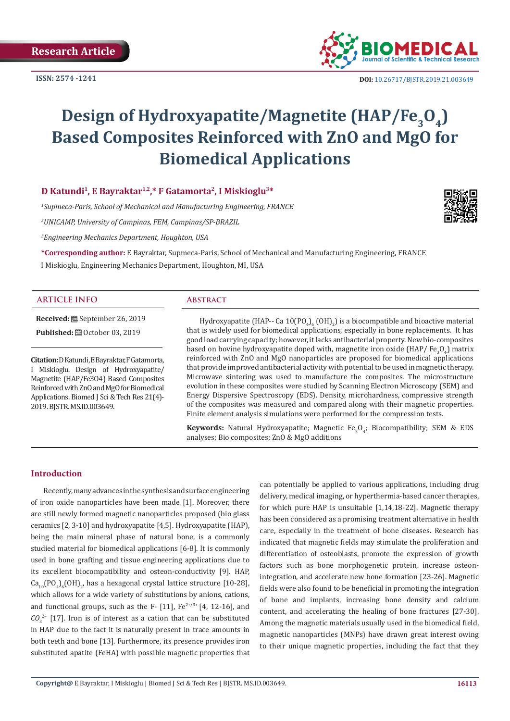

 **DOI:** [10.26717/BJSTR.2019.21.003649](http://dx.doi.org/10.26717/BJSTR.2019.21.003649)

# **Design of Hydroxyapatite/Magnetite (HAP/Fe<sub>3</sub>O<sub>4</sub>) Based Composites Reinforced with ZnO and MgO for Biomedical Applications**

# **D Katundi1, E Bayraktar1,2,\* F Gatamorta2, I Miskioglu3\***

*1 Supmeca-Paris, School of Mechanical and Manufacturing Engineering, FRANCE* 

*2 UNICAMP, University of Campinas, FEM, Campinas/SP-BRAZIL* 

*3 Engineering Mechanics Department, Houghton, USA* 

**\*Corresponding author:** E Bayraktar, Supmeca-Paris, School of Mechanical and Manufacturing Engineering, FRANCE I Miskioglu, Engineering Mechanics Department, Houghton, MI, USA

#### **ARTICLE INFO Abstract**

**Received:** September 26, 2019 **Published:** ■ October 03, 2019

**Citation:** D Katundi, E Bayraktar, F Gatamorta, I Miskioglu. Design of Hydroxyapatite/ Magnetite (HAP/Fe3O4) Based Composites Reinforced with ZnO and MgO for Biomedical Applications. Biomed J Sci & Tech Res 21(4)- 2019. BJSTR. MS.ID.003649.

Hydroxyapatite (HAP-- Ca  $10(PO_4)_6(OH)_2$ ) is a biocompatible and bioactive material that is widely used for biomedical applications, especially in bone replacements. It has good load carrying capacity; however, it lacks antibacterial property. New bio-composites based on bovine hydroxyapatite doped with, magnetite iron oxide (HAP/ Fe<sub>3</sub>O<sub>4</sub>) matrix reinforced with ZnO and MgO nanoparticles are proposed for biomedical applications that provide improved antibacterial activity with potential to be used in magnetic therapy. Microwave sintering was used to manufacture the composites. The microstructure evolution in these composites were studied by Scanning Electron Microscopy (SEM) and Energy Dispersive Spectroscopy (EDS). Density, microhardness, compressive strength of the composites was measured and compared along with their magnetic properties. Finite element analysis simulations were performed for the compression tests.

**Keywords:** Natural Hydroxyapatite; Magnetic  $Fe<sub>3</sub>O<sub>4</sub>$ ; Biocompatibility; SEM & EDS analyses; Bio composites; ZnO & MgO additions

# **Introduction**

Recently, many advances in the synthesis and surface engineering of iron oxide nanoparticles have been made [1]. Moreover, there are still newly formed magnetic nanoparticles proposed (bio glass ceramics [2, 3-10] and hydroxyapatite [4,5]. Hydroxyapatite (HAP), being the main mineral phase of natural bone, is a commonly studied material for biomedical applications [6-8]. It is commonly used in bone grafting and tissue engineering applications due to its excellent biocompatibility and osteon-conductivity [9]. HAP,  $\text{Ca}_{10}(\text{PO}_4)_{6}(\text{OH})_{2'}$  has a hexagonal crystal lattice structure [10-28], which allows for a wide variety of substitutions by anions, cations, and functional groups, such as the F-  $[11]$ , Fe<sup>2+/3+</sup>  $[4, 12-16]$ , and *CO*<sub>3</sub><sup>2−</sup> [17]. Iron is of interest as a cation that can be substituted in HAP due to the fact it is naturally present in trace amounts in both teeth and bone [13]. Furthermore, its presence provides iron substituted apatite (FeHA) with possible magnetic properties that

can potentially be applied to various applications, including drug delivery, medical imaging, or hyperthermia-based cancer therapies, for which pure HAP is unsuitable [1,14,18-22]. Magnetic therapy has been considered as a promising treatment alternative in health care, especially in the treatment of bone diseases. Research has indicated that magnetic fields may stimulate the proliferation and differentiation of osteoblasts, promote the expression of growth factors such as bone morphogenetic protein, increase osteonintegration, and accelerate new bone formation [23-26]. Magnetic fields were also found to be beneficial in promoting the integration of bone and implants, increasing bone density and calcium content, and accelerating the healing of bone fractures [27-30]. Among the magnetic materials usually used in the biomedical field, magnetic nanoparticles (MNPs) have drawn great interest owing to their unique magnetic properties, including the fact that they

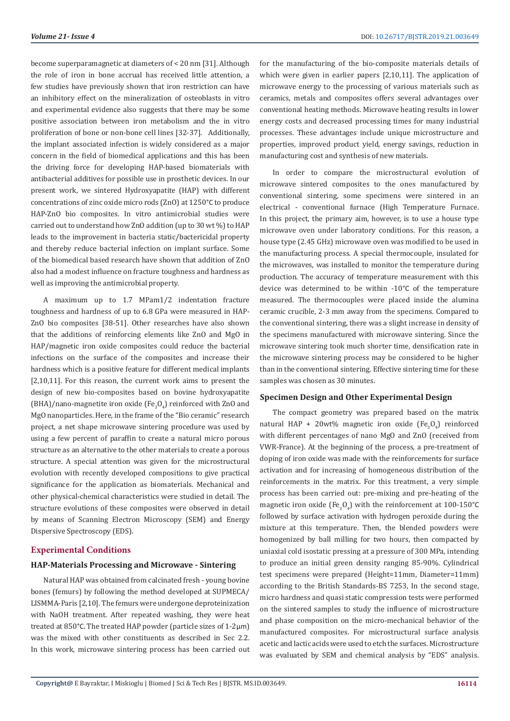become superparamagnetic at diameters of < 20 nm [31]. Although the role of iron in bone accrual has received little attention, a few studies have previously shown that iron restriction can have an inhibitory effect on the mineralization of osteoblasts in vitro and experimental evidence also suggests that there may be some positive association between iron metabolism and the in vitro proliferation of bone or non-bone cell lines [32-37]. Additionally, the implant associated infection is widely considered as a major concern in the field of biomedical applications and this has been the driving force for developing HAP-based biomaterials with antibacterial additives for possible use in prosthetic devices. In our present work, we sintered Hydroxyapatite (HAP) with different concentrations of zinc oxide micro rods (ZnO) at 1250°C to produce HAP-ZnO bio composites. In vitro antimicrobial studies were carried out to understand how ZnO addition (up to 30 wt %) to HAP leads to the improvement in bacteria static/bactericidal property and thereby reduce bacterial infection on implant surface. Some of the biomedical based research have shown that addition of ZnO also had a modest influence on fracture toughness and hardness as well as improving the antimicrobial property.

A maximum up to 1.7 MPam1/2 indentation fracture toughness and hardness of up to 6.8 GPa were measured in HAP-ZnO bio composites [38-51]. Other researches have also shown that the additions of reinforcing elements like ZnO and MgO in HAP/magnetic iron oxide composites could reduce the bacterial infections on the surface of the composites and increase their hardness which is a positive feature for different medical implants [2,10,11]. For this reason, the current work aims to present the design of new bio-composites based on bovine hydroxyapatite (BHA)/nano-magnetite iron oxide (Fe<sub>3</sub>O<sub>4</sub>) reinforced with ZnO and MgO nanoparticles. Here, in the frame of the "Bio ceramic" research project, a net shape microwave sintering procedure was used by using a few percent of paraffin to create a natural micro porous structure as an alternative to the other materials to create a porous structure. A special attention was given for the microstructural evolution with recently developed compositions to give practical significance for the application as biomaterials. Mechanical and other physical-chemical characteristics were studied in detail. The structure evolutions of these composites were observed in detail by means of Scanning Electron Microscopy (SEM) and Energy Dispersive Spectroscopy (EDS).

#### **Experimental Conditions**

#### **HAP-Materials Processing and Microwave - Sintering**

Natural HAP was obtained from calcinated fresh - young bovine bones (femurs) by following the method developed at SUPMECA/ LISMMA-Paris [2,10]. The femurs were undergone deproteinization with NaOH treatment. After repeated washing, they were heat treated at 850°C. The treated HAP powder (particle sizes of 1-2μm) was the mixed with other constituents as described in Sec 2.2. In this work, microwave sintering process has been carried out for the manufacturing of the bio-composite materials details of which were given in earlier papers [2,10,11]. The application of microwave energy to the processing of various materials such as ceramics, metals and composites offers several advantages over conventional heating methods. Microwave heating results in lower energy costs and decreased processing times for many industrial processes. These advantages include unique microstructure and properties, improved product yield, energy savings, reduction in manufacturing cost and synthesis of new materials.

In order to compare the microstructural evolution of microwave sintered composites to the ones manufactured by conventional sintering, some specimens were sintered in an electrical - conventional furnace (High Temperature Furnace. In this project, the primary aim, however, is to use a house type microwave oven under laboratory conditions. For this reason, a house type (2.45 GHz) microwave oven was modified to be used in the manufacturing process. A special thermocouple, insulated for the microwaves, was installed to monitor the temperature during production. The accuracy of temperature measurement with this device was determined to be within -10°C of the temperature measured. The thermocouples were placed inside the alumina ceramic crucible, 2-3 mm away from the specimens. Compared to the conventional sintering, there was a slight increase in density of the specimens manufactured with microwave sintering. Since the microwave sintering took much shorter time, densification rate in the microwave sintering process may be considered to be higher than in the conventional sintering. Effective sintering time for these samples was chosen as 30 minutes.

# **Specimen Design and Other Experimental Design**

The compact geometry was prepared based on the matrix natural HAP + 20wt% magnetic iron oxide  ${\rm (Fe}_3O_4)$  reinforced with different percentages of nano MgO and ZnO (received from VWR-France). At the beginning of the process, a pre-treatment of doping of iron oxide was made with the reinforcements for surface activation and for increasing of homogeneous distribution of the reinforcements in the matrix. For this treatment, a very simple process has been carried out: pre-mixing and pre-heating of the magnetic iron oxide (Fe<sub>3</sub>O<sub>4</sub>) with the reinforcement at 100-150°C followed by surface activation with hydrogen peroxide during the mixture at this temperature. Then, the blended powders were homogenized by ball milling for two hours, then compacted by uniaxial cold isostatic pressing at a pressure of 300 MPa, intending to produce an initial green density ranging 85-90%. Cylindrical test specimens were prepared (Height=11mm, Diameter=11mm) according to the British Standards-BS 7253, In the second stage, micro hardness and quasi static compression tests were performed on the sintered samples to study the influence of microstructure and phase composition on the micro-mechanical behavior of the manufactured composites. For microstructural surface analysis acetic and lactic acids were used to etch the surfaces. Microstructure was evaluated by SEM and chemical analysis by "EDS" analysis.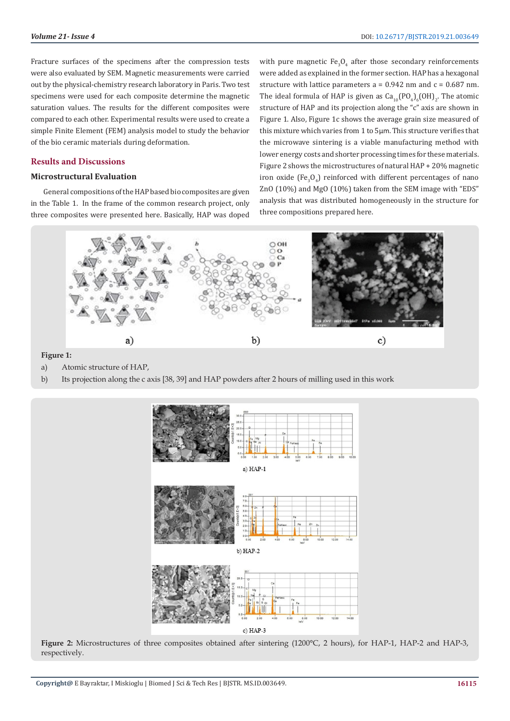Fracture surfaces of the specimens after the compression tests were also evaluated by SEM. Magnetic measurements were carried out by the physical-chemistry research laboratory in Paris. Two test specimens were used for each composite determine the magnetic saturation values. The results for the different composites were compared to each other. Experimental results were used to create a simple Finite Element (FEM) analysis model to study the behavior of the bio ceramic materials during deformation.

#### **Results and Discussions**

# **Microstructural Evaluation**

General compositions of the HAP based bio composites are given in the Table 1. In the frame of the common research project, only three composites were presented here. Basically, HAP was doped with pure magnetic  $Fe_{3}O_{4}$  after those secondary reinforcements were added as explained in the former section. HAP has a hexagonal structure with lattice parameters  $a = 0.942$  nm and  $c = 0.687$  nm. The ideal formula of HAP is given as  $\text{Ca}_{10}\text{(PO}_4\text{)}_6\text{(OH)}_2$ . The atomic structure of HAP and its projection along the "c" axis are shown in Figure 1. Also, Figure 1c shows the average grain size measured of this mixture which varies from 1 to 5µm. This structure verifies that the microwave sintering is a viable manufacturing method with lower energy costs and shorter processing times for these materials. Figure 2 shows the microstructures of natural HAP + 20% magnetic iron oxide (Fe<sub>3</sub>O<sub>4</sub>) reinforced with different percentages of nano ZnO (10%) and MgO (10%) taken from the SEM image with "EDS" analysis that was distributed homogeneously in the structure for three compositions prepared here.



**Figure 1:**

- a) Atomic structure of HAP,
- b) Its projection along the c axis [38, 39] and HAP powders after 2 hours of milling used in this work



Figure 2: Microstructures of three composites obtained after sintering (1200°C, 2 hours), for HAP-1, HAP-2 and HAP-3, respectively.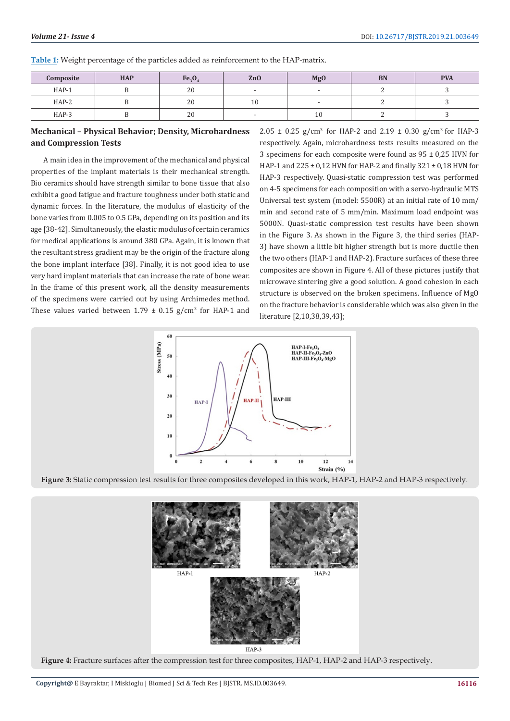**Table 1:** Weight percentage of the particles added as reinforcement to the HAP-matrix.

| Composite | <b>HAP</b> | Fe <sub>3</sub> O <sub>2</sub> | Zn <sub>O</sub> | <b>MgO</b> | <b>BN</b> | <b>PVA</b> |
|-----------|------------|--------------------------------|-----------------|------------|-----------|------------|
| HAP-1     |            | 20                             |                 |            |           |            |
| $HAP-2$   |            | 20                             | ΙU              |            |           |            |
| HAP-3     |            | 20                             |                 | 10         |           |            |

# **Mechanical – Physical Behavior; Density, Microhardness and Compression Tests**

A main idea in the improvement of the mechanical and physical properties of the implant materials is their mechanical strength. Bio ceramics should have strength similar to bone tissue that also exhibit a good fatigue and fracture toughness under both static and dynamic forces. In the literature, the modulus of elasticity of the bone varies from 0.005 to 0.5 GPa, depending on its position and its age [38-42]. Simultaneously, the elastic modulus of certain ceramics for medical applications is around 380 GPa. Again, it is known that the resultant stress gradient may be the origin of the fracture along the bone implant interface [38]. Finally, it is not good idea to use very hard implant materials that can increase the rate of bone wear. In the frame of this present work, all the density measurements of the specimens were carried out by using Archimedes method. These values varied between  $1.79 \pm 0.15$  g/cm<sup>3</sup> for HAP-1 and  $2.05 \pm 0.25$  g/cm<sup>3</sup> for HAP-2 and  $2.19 \pm 0.30$  g/cm<sup>3</sup> for HAP-3 respectively. Again, microhardness tests results measured on the 3 specimens for each composite were found as 95 ± 0,25 HVN for HAP-1 and 225 ± 0,12 HVN for HAP-2 and finally 321 ± 0,18 HVN for HAP-3 respectively. Quasi-static compression test was performed on 4-5 specimens for each composition with a servo-hydraulic MTS Universal test system (model: 5500R) at an initial rate of 10 mm/ min and second rate of 5 mm/min. Maximum load endpoint was 5000N. Quasi-static compression test results have been shown in the Figure 3. As shown in the Figure 3, the third series (HAP-3) have shown a little bit higher strength but is more ductile then the two others (HAP-1 and HAP-2). Fracture surfaces of these three composites are shown in Figure 4. All of these pictures justify that microwave sintering give a good solution. A good cohesion in each structure is observed on the broken specimens. Influence of MgO on the fracture behavior is considerable which was also given in the literature [2,10,38,39,43];



**Figure 3:** Static compression test results for three composites developed in this work, HAP-1, HAP-2 and HAP-3 respectively.

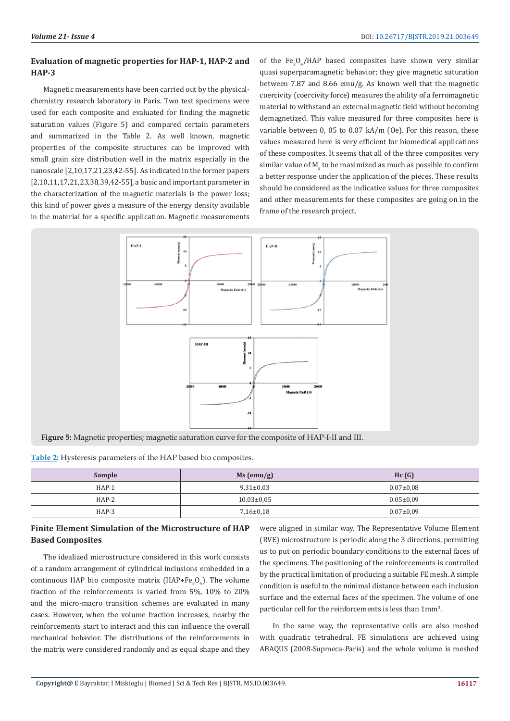# **Evaluation of magnetic properties for HAP-1, HAP-2 and HAP-3**

Magnetic measurements have been carried out by the physicalchemistry research laboratory in Paris. Two test specimens were used for each composite and evaluated for finding the magnetic saturation values (Figure 5) and compared certain parameters and summarized in the Table 2. As well known, magnetic properties of the composite structures can be improved with small grain size distribution well in the matrix especially in the nanoscale [2,10,17,21,23,42-55]. As indicated in the former papers [2,10,11,17,21,23,38,39,42-55], a basic and important parameter in the characterization of the magnetic materials is the power loss; this kind of power gives a measure of the energy density available in the material for a specific application. Magnetic measurements

of the  $Fe_{3}O_{4}/HAP$  based composites have shown very similar quasi superparamagnetic behavior; they give magnetic saturation between 7.87 and 8.66 emu/g. As known well that the magnetic coercivity (coercivity force) measures the ability of a ferromagnetic material to withstand an external magnetic field without becoming demagnetized. This value measured for three composites here is variable between 0, 05 to 0.07 kA/m (Oe). For this reason, these values measured here is very efficient for biomedical applications of these composites. It seems that all of the three composites very similar value of  $M_{\rm s}$  to be maximized as much as possible to confirm a better response under the application of the pieces. These results should be considered as the indicative values for three composites and other measurements for these composites are going on in the frame of the research project.



**Figure 5:** Magnetic properties; magnetic saturation curve for the composite of HAP-I-II and III.

| Table 2: Hysteresis parameters of the HAP based bio composites. |  |  |
|-----------------------------------------------------------------|--|--|
|                                                                 |  |  |

| <b>Sample</b> | Ms (emu/g)     | Hc(G)           |
|---------------|----------------|-----------------|
| $HAP-1$       | $9,31\pm0.03$  | $0.07 \pm 0.08$ |
| $HAP-2$       | $10,03\pm0,05$ | $0.05 \pm 0.09$ |
| $HAP-3$       | $7,16\pm0.18$  | $0.07 \pm 0.09$ |

# **Finite Element Simulation of the Microstructure of HAP Based Composites**

The idealized microstructure considered in this work consists of a random arrangement of cylindrical inclusions embedded in a continuous HAP bio composite matrix (HAP+Fe<sub>3</sub>O<sub>4</sub>). The volume fraction of the reinforcements is varied from 5%, 10% to 20% and the micro-macro transition schemes are evaluated in many cases. However, when the volume fraction increases, nearby the reinforcements start to interact and this can influence the overall mechanical behavior. The distributions of the reinforcements in the matrix were considered randomly and as equal shape and they

were aligned in similar way. The Representative Volume Element (RVE) microstructure is periodic along the 3 directions, permitting us to put on periodic boundary conditions to the external faces of the specimens. The positioning of the reinforcements is controlled by the practical limitation of producing a suitable FE mesh. A simple condition is useful to the minimal distance between each inclusion surface and the external faces of the specimen. The volume of one particular cell for the reinforcements is less than 1mm<sup>3</sup> .

In the same way, the representative cells are also meshed with quadratic tetrahedral. FE simulations are achieved using ABAQUS (2008-Supmeca-Paris) and the whole volume is meshed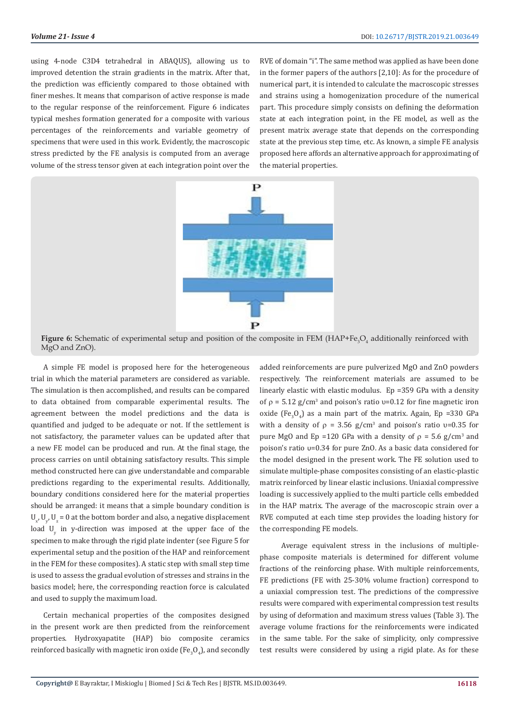using 4-node C3D4 tetrahedral in ABAQUS), allowing us to improved detention the strain gradients in the matrix. After that, the prediction was efficiently compared to those obtained with finer meshes. It means that comparison of active response is made to the regular response of the reinforcement. Figure 6 indicates typical meshes formation generated for a composite with various percentages of the reinforcements and variable geometry of specimens that were used in this work. Evidently, the macroscopic stress predicted by the FE analysis is computed from an average volume of the stress tensor given at each integration point over the

RVE of domain "i". The same method was applied as have been done in the former papers of the authors [2,10]: As for the procedure of numerical part, it is intended to calculate the macroscopic stresses and strains using a homogenization procedure of the numerical part. This procedure simply consists on defining the deformation state at each integration point, in the FE model, as well as the present matrix average state that depends on the corresponding state at the previous step time, etc. As known, a simple FE analysis proposed here affords an alternative approach for approximating of the material properties.



**Figure 6:** Schematic of experimental setup and position of the composite in FEM (HAP+Fe<sub>3</sub>O<sub>4</sub> additionally reinforced with MgO and ZnO).

A simple FE model is proposed here for the heterogeneous trial in which the material parameters are considered as variable. The simulation is then accomplished, and results can be compared to data obtained from comparable experimental results. The agreement between the model predictions and the data is quantified and judged to be adequate or not. If the settlement is not satisfactory, the parameter values can be updated after that a new FE model can be produced and run. At the final stage, the process carries on until obtaining satisfactory results. This simple method constructed here can give understandable and comparable predictions regarding to the experimental results. Additionally, boundary conditions considered here for the material properties should be arranged: it means that a simple boundary condition is  $U_{x'}$ ,  $U_{y'}$ ,  $U_{z}$  = 0 at the bottom border and also, a negative displacement load  $U_{y}$  in y-direction was imposed at the upper face of the specimen to make through the rigid plate indenter (see Figure 5 for experimental setup and the position of the HAP and reinforcement in the FEM for these composites). A static step with small step time is used to assess the gradual evolution of stresses and strains in the basics model; here, the corresponding reaction force is calculated and used to supply the maximum load.

Certain mechanical properties of the composites designed in the present work are then predicted from the reinforcement properties. Hydroxyapatite (HAP) bio composite ceramics reinforced basically with magnetic iron oxide (Fe $_{3}$ O $_{4}$ ), and secondly added reinforcements are pure pulverized MgO and ZnO powders respectively. The reinforcement materials are assumed to be linearly elastic with elastic modulus. Ep =359 GPa with a density of  $p = 5.12$  g/cm<sup>3</sup> and poison's ratio v=0.12 for fine magnetic iron oxide (Fe<sub>3</sub>O<sub>4</sub>) as a main part of the matrix. Again, Ep =330 GPa with a density of  $\rho = 3.56$  g/cm<sup>3</sup> and poison's ratio  $v=0.35$  for pure MgO and Ep =120 GPa with a density of  $\rho = 5.6$  g/cm<sup>3</sup> and poison's ratio υ=0.34 for pure ZnO. As a basic data considered for the model designed in the present work. The FE solution used to simulate multiple-phase composites consisting of an elastic-plastic matrix reinforced by linear elastic inclusions. Uniaxial compressive loading is successively applied to the multi particle cells embedded in the HAP matrix. The average of the macroscopic strain over a RVE computed at each time step provides the loading history for the corresponding FE models.

 Average equivalent stress in the inclusions of multiplephase composite materials is determined for different volume fractions of the reinforcing phase. With multiple reinforcements, FE predictions (FE with 25-30% volume fraction) correspond to a uniaxial compression test. The predictions of the compressive results were compared with experimental compression test results by using of deformation and maximum stress values (Table 3). The average volume fractions for the reinforcements were indicated in the same table. For the sake of simplicity, only compressive test results were considered by using a rigid plate. As for these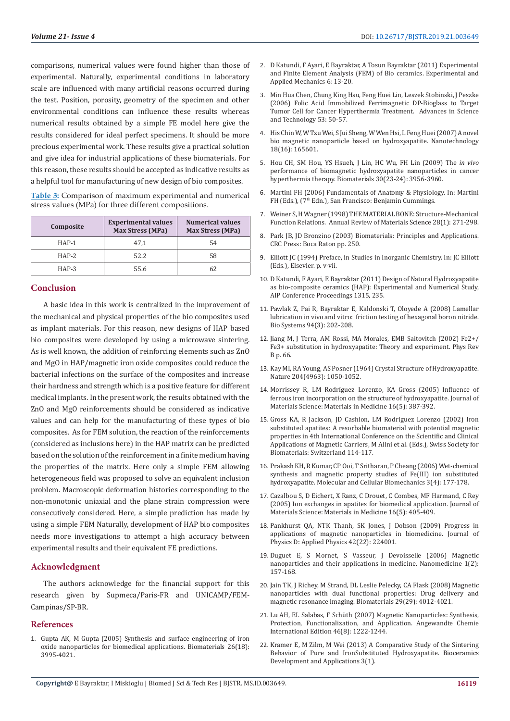**Volume 21- Issue 4** DOI: [10.26717/BJSTR.2019.21.003649](http://dx.doi.org/10.26717/BJSTR.2019.21.003649)

comparisons, numerical values were found higher than those of experimental. Naturally, experimental conditions in laboratory scale are influenced with many artificial reasons occurred during the test. Position, porosity, geometry of the specimen and other environmental conditions can influence these results whereas numerical results obtained by a simple FE model here give the results considered for ideal perfect specimens. It should be more precious experimental work. These results give a practical solution and give idea for industrial applications of these biomaterials. For this reason, these results should be accepted as indicative results as a helpful tool for manufacturing of new design of bio composites.

**Table 3:** Comparison of maximum experimental and numerical stress values (MPa) for three different compositions.

| Composite | <b>Experimental values</b><br><b>Max Stress (MPa)</b> | <b>Numerical values</b><br><b>Max Stress (MPa)</b> |
|-----------|-------------------------------------------------------|----------------------------------------------------|
| $HAP-1$   | 47.1                                                  | 54                                                 |
| $HAP-2$   | 52.2                                                  | 58                                                 |
| $HAP-3$   | 55.6                                                  | 62                                                 |

#### **Conclusion**

A basic idea in this work is centralized in the improvement of the mechanical and physical properties of the bio composites used as implant materials. For this reason, new designs of HAP based bio composites were developed by using a microwave sintering. As is well known, the addition of reinforcing elements such as ZnO and MgO in HAP/magnetic iron oxide composites could reduce the bacterial infections on the surface of the composites and increase their hardness and strength which is a positive feature for different medical implants. In the present work, the results obtained with the ZnO and MgO reinforcements should be considered as indicative values and can help for the manufacturing of these types of bio composites. As for FEM solution, the reaction of the reinforcements (considered as inclusions here) in the HAP matrix can be predicted based on the solution of the reinforcement in a finite medium having the properties of the matrix. Here only a simple FEM allowing heterogeneous field was proposed to solve an equivalent inclusion problem. Macroscopic deformation histories corresponding to the non-monotonic uniaxial and the plane strain compression were consecutively considered. Here, a simple prediction has made by using a simple FEM Naturally, development of HAP bio composites needs more investigations to attempt a high accuracy between experimental results and their equivalent FE predictions.

#### **Acknowledgment**

The authors acknowledge for the financial support for this research given by Supmeca/Paris-FR and UNICAMP/FEM-Campinas/SP-BR.

#### **References**

1. [Gupta AK, M Gupta \(2005\) Synthesis and surface engineering of iron](https://www.ncbi.nlm.nih.gov/pubmed/15626447)  [oxide nanoparticles for biomedical applications. Biomaterials 26\(18\):](https://www.ncbi.nlm.nih.gov/pubmed/15626447)  [3995-4021.](https://www.ncbi.nlm.nih.gov/pubmed/15626447)

- 2. [D Katundi, F Ayari, E Bayraktar, A Tosun Bayraktar \(2011\) Experimental](https://link.springer.com/chapter/10.1007/978-1-4614-0222-0_3) [and Finite Element Analysis \(FEM\) of Bio ceramics. Experimental and](https://link.springer.com/chapter/10.1007/978-1-4614-0222-0_3) [Applied Mechanics 6: 13-20.](https://link.springer.com/chapter/10.1007/978-1-4614-0222-0_3)
- 3. [Min Hua Chen, Chung King Hsu, Feng Huei Lin, Leszek Stobinski, J Peszke](https://www.semanticscholar.org/paper/Folic-Acid-Immobilized-Ferrimagnetic-DP-Bioglass-to-Chen-Hsu/732f7c4db407e73be3224d04e2710ed41214f48f) [\(2006\) Folic Acid Immobilized Ferrimagnetic DP-Bioglass to Target](https://www.semanticscholar.org/paper/Folic-Acid-Immobilized-Ferrimagnetic-DP-Bioglass-to-Chen-Hsu/732f7c4db407e73be3224d04e2710ed41214f48f) [Tumor Cell for Cancer Hyperthermia Treatment. Advances in Science](https://www.semanticscholar.org/paper/Folic-Acid-Immobilized-Ferrimagnetic-DP-Bioglass-to-Chen-Hsu/732f7c4db407e73be3224d04e2710ed41214f48f) [and Technology 53: 50-57.](https://www.semanticscholar.org/paper/Folic-Acid-Immobilized-Ferrimagnetic-DP-Bioglass-to-Chen-Hsu/732f7c4db407e73be3224d04e2710ed41214f48f)
- 4. [His Chin W, W Tzu Wei, S Jui Sheng, W Wen Hsi, L Feng Huei \(2007\) A novel](https://iopscience.iop.org/article/10.1088/0957-4484/18/16/165601/meta) [bio magnetic nanoparticle based on hydroxyapatite. Nanotechnology](https://iopscience.iop.org/article/10.1088/0957-4484/18/16/165601/meta) [18\(16\): 165601.](https://iopscience.iop.org/article/10.1088/0957-4484/18/16/165601/meta)
- 5. [Hou CH, SM Hou, YS Hsueh, J Lin, HC Wu, FH Lin \(2009\) The](https://www.ncbi.nlm.nih.gov/pubmed/19446329) *in vivo* [performance of biomagnetic hydroxyapatite nanoparticles in cancer](https://www.ncbi.nlm.nih.gov/pubmed/19446329) [hyperthermia therapy. Biomaterials 30\(23-24\): 3956-3960.](https://www.ncbi.nlm.nih.gov/pubmed/19446329)
- 6. Martini FH (2006) Fundamentals of Anatomy & Physiology. In: Martini FH (Eds.), (7<sup>th</sup> Edn.), San Francisco: Benjamin Cummings.
- 7. Weiner S, H Wagner (1998) THE MATERIAL BONE: Structure-Mechanical Function Relations. Annual Review of Materials Science 28(1): 271-298.
- 8. [Park JB, JD Bronzino \(2003\) Biomaterials: Principles and Applications.](https://www.crcpress.com/Biomaterials-Principles-and-Applications/Park-Bronzino/p/book/9780849314919) [CRC Press: Boca Raton pp. 250.](https://www.crcpress.com/Biomaterials-Principles-and-Applications/Park-Bronzino/p/book/9780849314919)
- 9. Elliott JC (1994) Preface, in Studies in Inorganic Chemistry. In: JC Elliott (Eds.), Elsevier. p. v-vii.
- 10. [D Katundi, F Ayari, E Bayraktar \(2011\) Design of Natural Hydroxyapatite](https://aip.scitation.org/doi/10.1063/1.3552447) [as bio-composite ceramics \(HAP\): Experimental and Numerical Study,](https://aip.scitation.org/doi/10.1063/1.3552447) [AIP Conference Proceedings 1315, 235.](https://aip.scitation.org/doi/10.1063/1.3552447)
- 11. [Pawlak Z, Pai R, Bayraktar E, Kaldonski T, Oloyede A \(2008\) Lamellar](https://www.ncbi.nlm.nih.gov/pubmed/18721855) [lubrication in vivo and vitro: friction testing of hexagonal boron nitride.](https://www.ncbi.nlm.nih.gov/pubmed/18721855) [Bio Systems 94\(3\): 202-208.](https://www.ncbi.nlm.nih.gov/pubmed/18721855)
- 12. [Jiang M, J Terra, AM Rossi, MA Morales, EMB Saitovitch \(2002\) Fe2+/](http://adsabs.harvard.edu/abs/2002PhRvB..66v4107J) [Fe3+ substitution in hydroxyapatite: Theory and experiment. Phys Rev](http://adsabs.harvard.edu/abs/2002PhRvB..66v4107J) [B p. 66.](http://adsabs.harvard.edu/abs/2002PhRvB..66v4107J)
- 13. [Kay MI, RA Young, AS Posner \(1964\) Crystal Structure of Hydroxyapatite.](https://www.nature.com/articles/2041050a0) [Nature 204\(4963\): 1050-1052.](https://www.nature.com/articles/2041050a0)
- 14. [Morrissey R, LM Rodríguez Lorenzo, KA Gross \(2005\) Influence of](https://www.ncbi.nlm.nih.gov/pubmed/15875246) [ferrous iron incorporation on the structure of hydroxyapatite. Journal of](https://www.ncbi.nlm.nih.gov/pubmed/15875246) [Materials Science: Materials in Medicine 16\(5\): 387-392.](https://www.ncbi.nlm.nih.gov/pubmed/15875246)
- 15. Gross KA, R Jackson, JD Cashion, LM Rodriguez Lorenzo (2002) Iron substituted apatites: A resorbable biomaterial with potential magnetic properties in 4th International Conference on the Scientific and Clinical Applications of Magnetic Carriers, M Alini et al. (Eds.), Swiss Society for Biomaterials: Switzerland 114-117.
- 16. [Prakash KH, R Kumar, CP Ooi, T Sritharan, P Cheang \(2006\) Wet-chemical](https://www.researchgate.net/publication/43499066_Wet-chemical_Synthesis_and_Magnetic_Property_Studies_of_FeIII_Ion_Substituted_Hydroxyapatite) [synthesis and magnetic property studies of Fe\(III\) ion substituted](https://www.researchgate.net/publication/43499066_Wet-chemical_Synthesis_and_Magnetic_Property_Studies_of_FeIII_Ion_Substituted_Hydroxyapatite) [hydroxyapatite. Molecular and Cellular Biomechanics 3\(4\): 177-178.](https://www.researchgate.net/publication/43499066_Wet-chemical_Synthesis_and_Magnetic_Property_Studies_of_FeIII_Ion_Substituted_Hydroxyapatite)
- 17. [Cazalbou S, D Eichert, X Ranz, C Drouet, C Combes, MF Harmand, C Rey](https://www.ncbi.nlm.nih.gov/pubmed/15875249) [\(2005\) Ion exchanges in apatites for biomedical application. Journal of](https://www.ncbi.nlm.nih.gov/pubmed/15875249) [Materials Science: Materials in Medicine 16\(5\): 405-409.](https://www.ncbi.nlm.nih.gov/pubmed/15875249)
- 18. [Pankhurst QA, NTK Thanh, SK Jones, J Dobson \(2009\) Progress in](https://iopscience.iop.org/article/10.1088/0022-3727/42/22/224001/meta) [applications of magnetic nanoparticles in biomedicine. Journal of](https://iopscience.iop.org/article/10.1088/0022-3727/42/22/224001/meta) [Physics D: Applied Physics 42\(22\): 224001.](https://iopscience.iop.org/article/10.1088/0022-3727/42/22/224001/meta)
- 19. [Duguet E, S Mornet, S Vasseur, J Devoisselle \(2006\) Magnetic](https://www.ncbi.nlm.nih.gov/pubmed/17716105) [nanoparticles and their applications in medicine. Nanomedicine 1\(2\):](https://www.ncbi.nlm.nih.gov/pubmed/17716105) [157-168.](https://www.ncbi.nlm.nih.gov/pubmed/17716105)
- 20. Jain TK, J Richey, M Strand, DL Leslie Pelecky, CA Flask (2008) Magnetic nanoparticles with dual functional properties: Drug delivery and magnetic resonance imaging. Biomaterials 29(29): 4012-4021.
- 21. [Lu AH, EL Salabas, F Schüth \(2007\) Magnetic Nanoparticles: Synthesis,](https://onlinelibrary.wiley.com/doi/abs/10.1002/anie.200602866) [Protection, Functionalization, and Application. Angewandte Chemie](https://onlinelibrary.wiley.com/doi/abs/10.1002/anie.200602866) [International Edition 46\(8\): 1222-1244.](https://onlinelibrary.wiley.com/doi/abs/10.1002/anie.200602866)
- 22. [Kramer E, M Zilm, M Wei \(2013\) A Comparative Study of the Sintering](https://www.omicsonline.org/open-access/a-comparative-study-of-the-sintering-behavior-of-pure-and-ironsubstituted-hydroxyapatite-2090-5025-3-067.php?aid=19909) [Behavior of Pure and IronSubstituted Hydroxyapatite. Bioceramics](https://www.omicsonline.org/open-access/a-comparative-study-of-the-sintering-behavior-of-pure-and-ironsubstituted-hydroxyapatite-2090-5025-3-067.php?aid=19909) [Development and Applications 3\(1\).](https://www.omicsonline.org/open-access/a-comparative-study-of-the-sintering-behavior-of-pure-and-ironsubstituted-hydroxyapatite-2090-5025-3-067.php?aid=19909)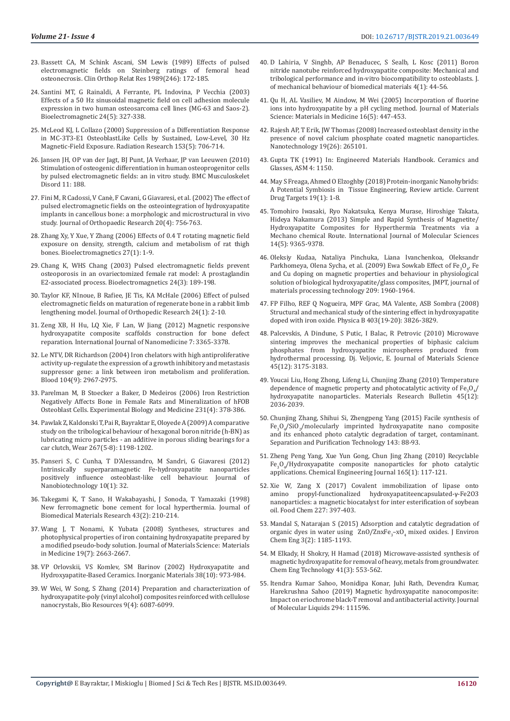- 23. [Bassett CA, M Schink Ascani, SM Lewis \(1989\) Effects of pulsed](https://www.ncbi.nlm.nih.gov/pubmed/2670386)  [electromagnetic fields on Steinberg ratings of femoral head](https://www.ncbi.nlm.nih.gov/pubmed/2670386)  [osteonecrosis. Clin Orthop Relat Res 1989\(246\): 172-185.](https://www.ncbi.nlm.nih.gov/pubmed/2670386)
- 24. [Santini MT, G Rainaldi, A Ferrante, PL Indovina, P Vecchia \(2003\)](https://www.ncbi.nlm.nih.gov/pubmed/12820290)  [Effects of a 50 Hz sinusoidal magnetic field on cell adhesion molecule](https://www.ncbi.nlm.nih.gov/pubmed/12820290)  [expression in two human osteosarcoma cell lines \(MG-63 and Saos-2\).](https://www.ncbi.nlm.nih.gov/pubmed/12820290)  [Bioelectromagnetic 24\(5\): 327-338.](https://www.ncbi.nlm.nih.gov/pubmed/12820290)
- 25. [McLeod KJ, L Collazo \(2000\) Suppression of a Differentiation Response](https://www.ncbi.nlm.nih.gov/pubmed/10790296)  [in MC-3T3-E1 OsteoblastLike Cells by Sustained, Low-Level, 30 Hz](https://www.ncbi.nlm.nih.gov/pubmed/10790296)  [Magnetic-Field Exposure. Radiation Research 153\(5\): 706-714.](https://www.ncbi.nlm.nih.gov/pubmed/10790296)
- 26. [Jansen JH, OP van der Jagt, BJ Punt, JA Verhaar, JP van Leeuwen \(2010\)](https://www.ncbi.nlm.nih.gov/pubmed/20731873)  [Stimulation of osteogenic differentiation in human osteoprogenitor cells](https://www.ncbi.nlm.nih.gov/pubmed/20731873)  [by pulsed electromagnetic fields: an in vitro study. BMC Musculoskelet](https://www.ncbi.nlm.nih.gov/pubmed/20731873)  [Disord 11: 188.](https://www.ncbi.nlm.nih.gov/pubmed/20731873)
- 27. Fini M, R Cadossi, V Canè[, F Cavani, G Giavaresi, et al. \(2002\) The effect of](https://www.ncbi.nlm.nih.gov/pubmed/12168664)  [pulsed electromagnetic fields on the osteointegration of hydroxyapatite](https://www.ncbi.nlm.nih.gov/pubmed/12168664)  [implants in cancellous bone: a morphologic and microstructural in vivo](https://www.ncbi.nlm.nih.gov/pubmed/12168664)  [study. Journal of Orthopaedic Research 20\(4\): 756-763.](https://www.ncbi.nlm.nih.gov/pubmed/12168664)
- 28. [Zhang Xy, Y Xue, Y Zhang \(2006\) Effects of 0.4 T rotating magnetic field](https://www.ncbi.nlm.nih.gov/pubmed/16304694)  [exposure on density, strength, calcium and metabolism of rat thigh](https://www.ncbi.nlm.nih.gov/pubmed/16304694)  [bones. Bioelectromagnetics 27\(1\): 1-9.](https://www.ncbi.nlm.nih.gov/pubmed/16304694)
- 29. [Chang K, WHS Chang \(2003\) Pulsed electromagnetic fields prevent](https://www.ncbi.nlm.nih.gov/pubmed/12669302)  [osteoporosis in an ovariectomized female rat model: A prostaglandin](https://www.ncbi.nlm.nih.gov/pubmed/12669302)  [E2-associated process. Bioelectromagnetics 24\(3\): 189-198.](https://www.ncbi.nlm.nih.gov/pubmed/12669302)
- 30. [Taylor KF, NInoue, B Rafiee, JE Tis, KA McHale \(2006\) Effect of pulsed](https://www.ncbi.nlm.nih.gov/pubmed/16419963)  [electromagnetic fields on maturation of regenerate bone in a rabbit limb](https://www.ncbi.nlm.nih.gov/pubmed/16419963)  [lengthening model. Journal of Orthopedic Research 24\(1\): 2-10.](https://www.ncbi.nlm.nih.gov/pubmed/16419963)
- 31. [Zeng XB, H Hu, LQ Xie, F Lan, W Jiang \(2012\) Magnetic responsive](https://www.ncbi.nlm.nih.gov/pmc/articles/PMC3405892/)  [hydroxyapatite composite scaffolds construction for bone defect](https://www.ncbi.nlm.nih.gov/pmc/articles/PMC3405892/)  [reparation. International Journal of Nanomedicine 7: 3365-3378.](https://www.ncbi.nlm.nih.gov/pmc/articles/PMC3405892/)
- 32. [Le NTV, DR Richardson \(2004\) Iron chelators with high antiproliferative](https://www.ncbi.nlm.nih.gov/pubmed/15251988)  [activity up-regulate the expression of a growth inhibitory and metastasis](https://www.ncbi.nlm.nih.gov/pubmed/15251988)  [suppressor gene: a link between iron metabolism and proliferation.](https://www.ncbi.nlm.nih.gov/pubmed/15251988)  [Blood 104\(9\): 2967-2975.](https://www.ncbi.nlm.nih.gov/pubmed/15251988)
- 33. [Parelman M, B Stoecker a Baker, D Medeiros \(2006\) Iron Restriction](https://www.ncbi.nlm.nih.gov/pubmed/16565433)  [Negatively Affects Bone in Female Rats and Mineralization of hFOB](https://www.ncbi.nlm.nih.gov/pubmed/16565433)  [Osteoblast Cells. Experimental Biology and Medicine 231\(4\): 378-386.](https://www.ncbi.nlm.nih.gov/pubmed/16565433)
- 34. [Pawlak Z, Kaldonski T, Pai R, Bayraktar E, Oloyede A \(2009\) A comparative](https://www.sciencedirect.com/science/article/abs/pii/S0043164809001148)  [study on the tribological behaviour of hexagonal boron nitride \(h-BN\) as](https://www.sciencedirect.com/science/article/abs/pii/S0043164809001148)  [lubricating micro particles - an additive in porous sliding bearings for a](https://www.sciencedirect.com/science/article/abs/pii/S0043164809001148)  [car clutch, Wear 267\(5-8\): 1198-1202.](https://www.sciencedirect.com/science/article/abs/pii/S0043164809001148)
- 35. [Panseri S, C Cunha, T D'Alessandro, M Sandri, G Giavaresi \(2012\)](https://www.ncbi.nlm.nih.gov/pubmed/22828388)  [Intrinsically superparamagnetic Fe-hydroxyapatite nanoparticles](https://www.ncbi.nlm.nih.gov/pubmed/22828388)  [positively influence osteoblast-like cell behaviour. Journal of](https://www.ncbi.nlm.nih.gov/pubmed/22828388)  [Nanobiotechnology 10\(1\): 32.](https://www.ncbi.nlm.nih.gov/pubmed/22828388)
- 36. [Takegami K, T Sano, H Wakabayashi, J Sonoda, T Yamazaki \(1998\)](https://www.ncbi.nlm.nih.gov/pubmed/9619440)  [New ferromagnetic bone cement for local hyperthermia. Journal of](https://www.ncbi.nlm.nih.gov/pubmed/9619440)  [Biomedical Materials Research 43\(2\): 210-214.](https://www.ncbi.nlm.nih.gov/pubmed/9619440)
- 37. [Wang J, T Nonami, K Yubata \(2008\) Syntheses, structures and](https://www.ncbi.nlm.nih.gov/pubmed/18197362)  [photophysical properties of iron containing hydroxyapatite prepared by](https://www.ncbi.nlm.nih.gov/pubmed/18197362)  [a modified pseudo-body solution. Journal of Materials Science: Materials](https://www.ncbi.nlm.nih.gov/pubmed/18197362)  [in Medicine 19\(7\): 2663-2667.](https://www.ncbi.nlm.nih.gov/pubmed/18197362)
- 38. [VP Orlovskii, VS Komlev, SM Barinov \(2002\) Hydroxyapatite and](https://link.springer.com/article/10.1023/A:1020585800572)  [Hydroxyapatite-Based Ceramics. Inorganic Materials 38\(10\): 973-984.](https://link.springer.com/article/10.1023/A:1020585800572)
- 39. [W Wei, W Song, S Zhang \(2014\) Preparation and characterization of](https://ojs.cnr.ncsu.edu/index.php/BioRes/article/view/BioRes_09_4_6087_Wei_Hydroxyapatite_Composites_Nanocrystals)  [hydroxyapatite-poly \(vinyl alcohol\) composites reinforced with cellulose](https://ojs.cnr.ncsu.edu/index.php/BioRes/article/view/BioRes_09_4_6087_Wei_Hydroxyapatite_Composites_Nanocrystals)  [nanocrystals, Bio Resources 9\(4\): 6087-6099.](https://ojs.cnr.ncsu.edu/index.php/BioRes/article/view/BioRes_09_4_6087_Wei_Hydroxyapatite_Composites_Nanocrystals)
- 40. [D Lahiria, V Singhb, AP Benaducec, S Sealb, L Kosc \(2011\) Boron](https://www.ncbi.nlm.nih.gov/pubmed/21094479) [nitride nanotube reinforced hydroxyapatite composite: Mechanical and](https://www.ncbi.nlm.nih.gov/pubmed/21094479) [tribological performance and in-vitro biocompatibility to osteoblasts. J.](https://www.ncbi.nlm.nih.gov/pubmed/21094479) [of mechanical behaviour of biomedical materials 4\(1\): 44-56.](https://www.ncbi.nlm.nih.gov/pubmed/21094479)
- 41. [Qu H, AL Vasiliev, M Aindow, M Wei \(2005\) Incorporation of fluorine](https://www.ncbi.nlm.nih.gov/pubmed/15875255) [ions into hydroxyapatite by a pH cycling method. Journal of Materials](https://www.ncbi.nlm.nih.gov/pubmed/15875255) [Science: Materials in Medicine 16\(5\): 447-453.](https://www.ncbi.nlm.nih.gov/pubmed/15875255)
- 42. [Rajesh AP, T Erik, JW Thomas \(2008\) Increased osteoblast density in the](https://www.ncbi.nlm.nih.gov/pubmed/21828670) [presence of novel calcium phosphate coated magnetic nanoparticles.](https://www.ncbi.nlm.nih.gov/pubmed/21828670) [Nanotechnology 19\(26\): 265101.](https://www.ncbi.nlm.nih.gov/pubmed/21828670)
- 43. Gupta TK (1991) In: Engineered Materials Handbook. Ceramics and Glasses, ASM 4: 1150.
- 44. May S Freaga, Ahmed O Elzoghby (2018) Protein-inorganic Nanohybrids: A Potential Symbiosis in Tissue Engineering, Review article. Current Drug Targets 19(1): 1-8.
- 45. [Tomohiro Iwasaki, Ryo Nakatsuka, Kenya Murase, Hiroshige Takata,](https://www.ncbi.nlm.nih.gov/pubmed/23629669) [Hideya Nakamura \(2013\) Simple and Rapid Synthesis of Magnetite/](https://www.ncbi.nlm.nih.gov/pubmed/23629669) [Hydroxyapatite Composites for Hyperthermia Treatments via a](https://www.ncbi.nlm.nih.gov/pubmed/23629669) [Mechano chemical Route. International Journal of Molecular Sciences](https://www.ncbi.nlm.nih.gov/pubmed/23629669) [14\(5\): 9365-9378.](https://www.ncbi.nlm.nih.gov/pubmed/23629669)
- 46. Oleksiy Kudaa, Nataliya Pinchuka, Liana Ivanchenkoa, Oleksandr Parkhomeya, Olena Sycha, et al. (2009) Ewa Sowkab Effect of Fe<sub>3</sub>O<sub>4</sub>, Fe and Cu doping on magnetic properties and behaviour in physiological solution of biological hydroxyapatite/glass composites, JMPT, journal of materials processing technology 209: 1960-1964.
- 47. [FP Filho, REF Q Nogueira, MPF Grac, MA Valente, ASB Sombra \(2008\)](https://www.sciencedirect.com/science/article/pii/S0921452608003220) [Structural and mechanical study of the sintering effect in hydroxyapatite](https://www.sciencedirect.com/science/article/pii/S0921452608003220) [doped with iron oxide. Physica B 403\(19-20\): 3826-3829.](https://www.sciencedirect.com/science/article/pii/S0921452608003220)
- 48. [Palcevskis, A Dindune, S Putic, I Balac, R Petrovic \(2010\) Microwave](https://link.springer.com/article/10.1007/s10853-010-4324-8) [sintering improves the mechanical properties of biphasic calcium](https://link.springer.com/article/10.1007/s10853-010-4324-8) [phosphates from hydroxyapatite microspheres produced from](https://link.springer.com/article/10.1007/s10853-010-4324-8) [hydrothermal processing. Dj. Veljovic, E. Journal of Materials Science](https://link.springer.com/article/10.1007/s10853-010-4324-8) [45\(12\): 3175-3183.](https://link.springer.com/article/10.1007/s10853-010-4324-8)
- 49. [Youcai Liu, Hong Zhong, Lifeng Li, Chunjing Zhang \(2010\) Temperature](https://www.sciencedirect.com/science/article/pii/S0025540810003661) dependence of magnetic property and photocatalytic activity of  $Fe_{3}O_{4}/$ [hydroxyapatite nanoparticles. Materials Research Bulletin 45\(12\):](https://www.sciencedirect.com/science/article/pii/S0025540810003661) [2036-2039.](https://www.sciencedirect.com/science/article/pii/S0025540810003661)
- 50. [Chunjing Zhang, Shihui Si, Zhengpeng Yang \(2015\) Facile synthesis of](https://www.sciencedirect.com/science/article/pii/S1383586615000593) Fe<sub>3</sub>O<sub>4</sub>/SiO<sub>2</sub>[/molecularly imprinted hydroxyapatite nano composite](https://www.sciencedirect.com/science/article/pii/S1383586615000593) [and its enhanced photo catalytic degradation of target, contaminant.](https://www.sciencedirect.com/science/article/pii/S1383586615000593) [Separation and Purification Technology 143: 88-93.](https://www.sciencedirect.com/science/article/pii/S1383586615000593)
- 51. [Zheng Peng Yang, Xue Yun Gong, Chun Jing Zhang \(2010\) Recyclable](https://www.sciencedirect.com/science/article/pii/S1385894710007990) Fe3 O4 [/Hydroxyapatite composite nanoparticles for photo catalytic](https://www.sciencedirect.com/science/article/pii/S1385894710007990) [applications. Chemical Engineering Journal 165\(1\): 117-121.](https://www.sciencedirect.com/science/article/pii/S1385894710007990)
- 52. [Xie W, Zang X \(2017\) Covalent immobilization of lipase onto](https://www.ncbi.nlm.nih.gov/pubmed/28274449) [amino propyl-functionalized hydroxyapatiteencapsulated-](https://www.ncbi.nlm.nih.gov/pubmed/28274449)γ-Fe2O3 [nanoparticles: a magnetic biocatalyst for inter esterification of soybean](https://www.ncbi.nlm.nih.gov/pubmed/28274449) [oil. Food Chem 227: 397-403.](https://www.ncbi.nlm.nih.gov/pubmed/28274449)
- 53. [Mandal S, Natarajan S \(2015\) Adsorption and catalytic degradation of](https://www.sciencedirect.com/science/article/pii/S2213343715001013) organic dyes in water using  $ZnO/Znxe_3-xO_4$  mixed oxides. J Environ [Chem Eng 3\(2\): 1185-1193.](https://www.sciencedirect.com/science/article/pii/S2213343715001013)
- 54. [M Elkady, H Shokry, H Hamad \(2018\) Microwave-assisted synthesis of](https://onlinelibrary.wiley.com/doi/abs/10.1002/ceat.201600631) [magnetic hydroxyapatite for removal of heavy, metals from groundwater.](https://onlinelibrary.wiley.com/doi/abs/10.1002/ceat.201600631) [Chem Eng Technology 41\(3\): 553-562.](https://onlinelibrary.wiley.com/doi/abs/10.1002/ceat.201600631)
- 55. [Itendra Kumar Sahoo, Monidipa Konar, Juhi Rath, Devendra Kumar,](https://www.sciencedirect.com/science/article/abs/pii/S016773221931894X) [Harekrushna Sahoo \(2019\) Magnetic hydroxyapatite nanocomposite:](https://www.sciencedirect.com/science/article/abs/pii/S016773221931894X) [Impact on eriochrome black-T removal and antibacterial activity. Journal](https://www.sciencedirect.com/science/article/abs/pii/S016773221931894X) [of Molecular Liquids 294: 111596.](https://www.sciencedirect.com/science/article/abs/pii/S016773221931894X)